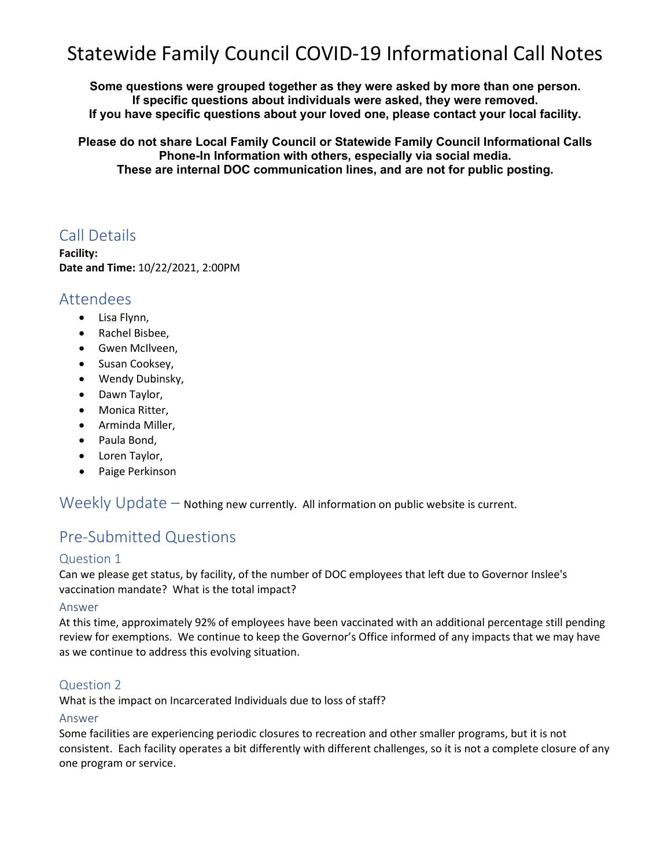# Statewide Family Council COVID-19 Informational Call Notes

**Some questions were grouped together as they were asked by more than one person. If specific questions about individuals were asked, they were removed. If you have specific questions about your loved one, please contact your local facility.** 

**Please do not share Local Family Council or Statewide Family Council Informational Calls Phone-In Information with others, especially via social media. These are internal DOC communication lines, and are not for public posting.**

## Call Details

**Facility: Date and Time:** 10/22/2021, 2:00PM

### Attendees

- Lisa Flynn,
- Rachel Bisbee,
- Gwen McIlveen,
- Susan Cooksey,
- Wendy Dubinsky,
- Dawn Taylor,
- Monica Ritter,
- Arminda Miller,
- Paula Bond,
- Loren Taylor,
- Paige Perkinson

Weekly Update – Nothing new currently. All information on public website is current.

## Pre-Submitted Questions

### Question 1

Can we please get status, by facility, of the number of DOC employees that left due to Governor Inslee's vaccination mandate? What is the total impact?

#### Answer

At this time, approximately 92% of employees have been vaccinated with an additional percentage still pending review for exemptions. We continue to keep the Governor's Office informed of any impacts that we may have as we continue to address this evolving situation.

#### Question 2

What is the impact on Incarcerated Individuals due to loss of staff?

#### Answer

Some facilities are experiencing periodic closures to recreation and other smaller programs, but it is not consistent. Each facility operates a bit differently with different challenges, so it is not a complete closure of any one program or service.